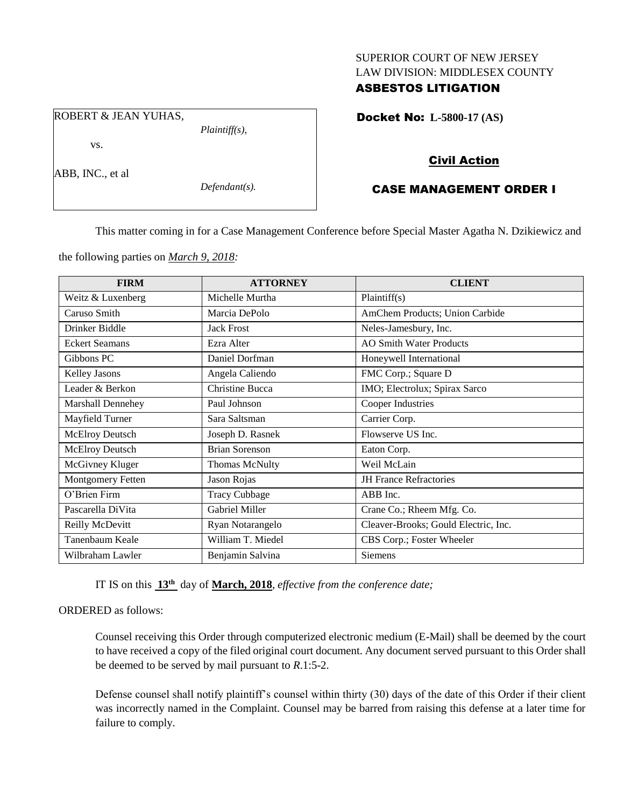#### SUPERIOR COURT OF NEW JERSEY LAW DIVISION: MIDDLESEX COUNTY

## ASBESTOS LITIGATION

Docket No: **L-5800-17 (AS)** 

## Civil Action

# CASE MANAGEMENT ORDER I

This matter coming in for a Case Management Conference before Special Master Agatha N. Dzikiewicz and

the following parties on *March 9, 2018:*

| <b>FIRM</b>              | <b>ATTORNEY</b>       | <b>CLIENT</b>                        |
|--------------------------|-----------------------|--------------------------------------|
| Weitz & Luxenberg        | Michelle Murtha       | Plaintiff(s)                         |
| Caruso Smith             | Marcia DePolo         | AmChem Products; Union Carbide       |
| Drinker Biddle           | <b>Jack Frost</b>     | Neles-Jamesbury, Inc.                |
| <b>Eckert Seamans</b>    | Ezra Alter            | <b>AO Smith Water Products</b>       |
| Gibbons PC               | Daniel Dorfman        | Honeywell International              |
| <b>Kelley Jasons</b>     | Angela Caliendo       | FMC Corp.; Square D                  |
| Leader & Berkon          | Christine Bucca       | IMO; Electrolux; Spirax Sarco        |
| <b>Marshall Dennehey</b> | Paul Johnson          | Cooper Industries                    |
| Mayfield Turner          | Sara Saltsman         | Carrier Corp.                        |
| <b>McElroy Deutsch</b>   | Joseph D. Rasnek      | Flowserve US Inc.                    |
| <b>McElroy Deutsch</b>   | <b>Brian Sorenson</b> | Eaton Corp.                          |
| McGivney Kluger          | <b>Thomas McNulty</b> | Weil McLain                          |
| Montgomery Fetten        | Jason Rojas           | <b>JH</b> France Refractories        |
| O'Brien Firm             | <b>Tracy Cubbage</b>  | ABB Inc.                             |
| Pascarella DiVita        | Gabriel Miller        | Crane Co.; Rheem Mfg. Co.            |
| Reilly McDevitt          | Ryan Notarangelo      | Cleaver-Brooks; Gould Electric, Inc. |
| Tanenbaum Keale          | William T. Miedel     | CBS Corp.; Foster Wheeler            |
| Wilbraham Lawler         | Benjamin Salvina      | Siemens                              |

IT IS on this **13th** day of **March, 2018**, *effective from the conference date;*

#### ORDERED as follows:

Counsel receiving this Order through computerized electronic medium (E-Mail) shall be deemed by the court to have received a copy of the filed original court document. Any document served pursuant to this Order shall be deemed to be served by mail pursuant to *R*.1:5-2.

Defense counsel shall notify plaintiff's counsel within thirty (30) days of the date of this Order if their client was incorrectly named in the Complaint. Counsel may be barred from raising this defense at a later time for failure to comply.

ROBERT & JEAN YUHAS,

vs.

ABB, INC., et al

*Defendant(s).*

*Plaintiff(s),*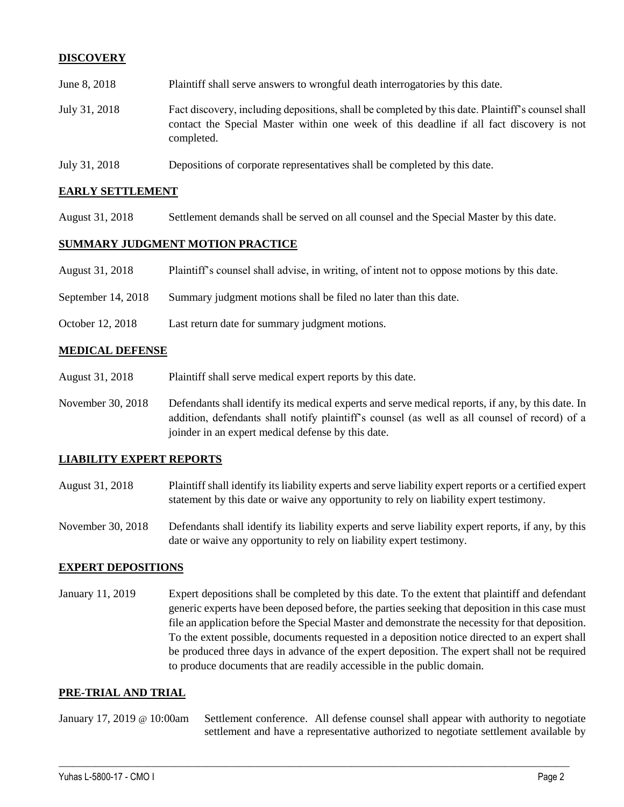## **DISCOVERY**

| June 8, 2018  | Plaintiff shall serve answers to wrongful death interrogatories by this date.                                                                                                                               |
|---------------|-------------------------------------------------------------------------------------------------------------------------------------------------------------------------------------------------------------|
| July 31, 2018 | Fact discovery, including depositions, shall be completed by this date. Plaintiff's counsel shall<br>contact the Special Master within one week of this deadline if all fact discovery is not<br>completed. |
|               |                                                                                                                                                                                                             |

July 31, 2018 Depositions of corporate representatives shall be completed by this date.

#### **EARLY SETTLEMENT**

August 31, 2018 Settlement demands shall be served on all counsel and the Special Master by this date.

#### **SUMMARY JUDGMENT MOTION PRACTICE**

| August 31, 2018 | Plaintiff's counsel shall advise, in writing, of intent not to oppose motions by this date. |
|-----------------|---------------------------------------------------------------------------------------------|
|                 |                                                                                             |

- September 14, 2018 Summary judgment motions shall be filed no later than this date.
- October 12, 2018 Last return date for summary judgment motions.

#### **MEDICAL DEFENSE**

- August 31, 2018 Plaintiff shall serve medical expert reports by this date.
- November 30, 2018 Defendants shall identify its medical experts and serve medical reports, if any, by this date. In addition, defendants shall notify plaintiff's counsel (as well as all counsel of record) of a joinder in an expert medical defense by this date.

#### **LIABILITY EXPERT REPORTS**

- August 31, 2018 Plaintiff shall identify its liability experts and serve liability expert reports or a certified expert statement by this date or waive any opportunity to rely on liability expert testimony.
- November 30, 2018 Defendants shall identify its liability experts and serve liability expert reports, if any, by this date or waive any opportunity to rely on liability expert testimony.

#### **EXPERT DEPOSITIONS**

January 11, 2019 Expert depositions shall be completed by this date. To the extent that plaintiff and defendant generic experts have been deposed before, the parties seeking that deposition in this case must file an application before the Special Master and demonstrate the necessity for that deposition. To the extent possible, documents requested in a deposition notice directed to an expert shall be produced three days in advance of the expert deposition. The expert shall not be required to produce documents that are readily accessible in the public domain.

#### **PRE-TRIAL AND TRIAL**

#### January 17, 2019 @ 10:00am Settlement conference. All defense counsel shall appear with authority to negotiate settlement and have a representative authorized to negotiate settlement available by

 $\_$  ,  $\_$  ,  $\_$  ,  $\_$  ,  $\_$  ,  $\_$  ,  $\_$  ,  $\_$  ,  $\_$  ,  $\_$  ,  $\_$  ,  $\_$  ,  $\_$  ,  $\_$  ,  $\_$  ,  $\_$  ,  $\_$  ,  $\_$  ,  $\_$  ,  $\_$  ,  $\_$  ,  $\_$  ,  $\_$  ,  $\_$  ,  $\_$  ,  $\_$  ,  $\_$  ,  $\_$  ,  $\_$  ,  $\_$  ,  $\_$  ,  $\_$  ,  $\_$  ,  $\_$  ,  $\_$  ,  $\_$  ,  $\_$  ,